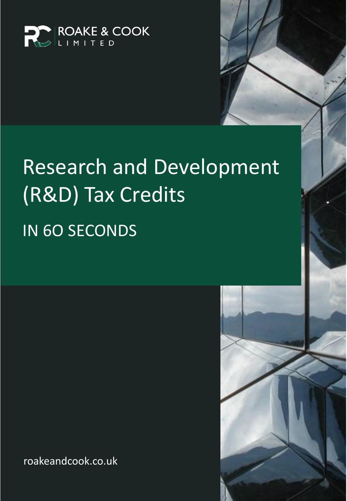

# Research and Development (R&D) Tax Credits IN 6O SECONDS

roakeandcook.co.uk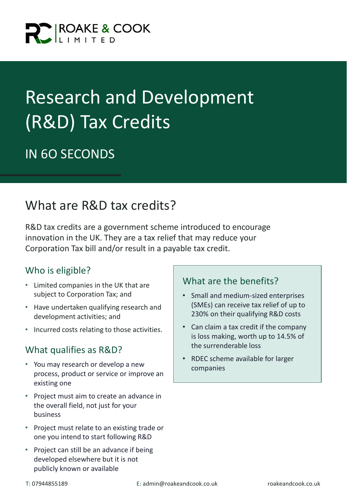

## Research and Development (R&D) Tax Credits

## IN 6O SECONDS

## What are R&D tax credits?

R&D tax credits are a government scheme introduced to encourage innovation in the UK. They are a tax relief that may reduce your Corporation Tax bill and/or result in a payable tax credit.

#### Who is eligible?

- Limited companies in the UK that are subject to Corporation Tax; and
- Have undertaken qualifying research and development activities; and
- Incurred costs relating to those activities.

#### What qualifies as R&D?

- You may research or develop a new process, product or service or improve an existing one
- Project must aim to create an advance in the overall field, not just for your business
- Project must relate to an existing trade or one you intend to start following R&D
- Project can still be an advance if being developed elsewhere but it is not publicly known or available

#### What are the benefits?

- Small and medium-sized enterprises (SMEs) can receive tax relief of up to 230% on their qualifying R&D costs
- Can claim a tax credit if the company is loss making, worth up to 14.5% of the surrenderable loss
- RDEC scheme available for larger companies